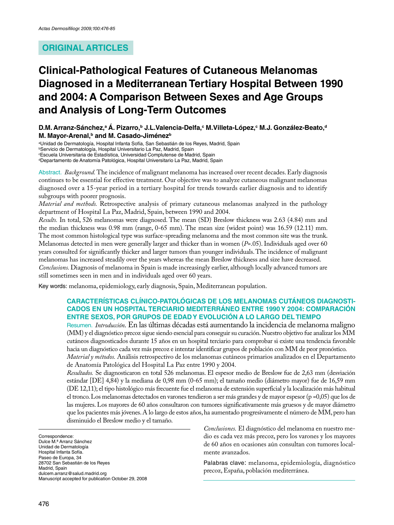# **ORIGINAL ARTICLES**

# **Clinical-Pathological Features of Cutaneous Melanomas Diagnosed in a Mediterranean Tertiary Hospital Between 1990 and 2004: A Comparison Between Sexes and Age Groups and Analysis of Long-Term Outcomes**

**D.M. Arranz-Sánchez,<sup>a</sup> Á. Pizarro,<sup>b</sup> J.L.Valencia-Delfa,<sup>c</sup> M.Villeta-López,<sup>c</sup> M.J. González-Beato,<sup>d</sup> M. Mayor-Arenal,<sup>b</sup> and M. Casado-Jiménez<sup>b</sup>**

<sup>a</sup>Unidad de Dermatología, Hospital Infanta Sofía, San Sebastián de los Reyes, Madrid, Spain <sup>b</sup>Servicio de Dermatología, Hospital Universitario La Paz, Madrid, Spain <sup>c</sup>Escuela Universitaria de Estadística, Universidad Complutense de Madrid, Spain

dDepartamento de Anatomía Patológica, Hospital Universitario La Paz, Madrid, Spain

Abstract. *Background.* The incidence of malignant melanoma has increased over recent decades. Early diagnosis continues to be essential for effective treatment. Our objective was to analyze cutaneous malignant melanomas diagnosed over a 15-year period in a tertiary hospital for trends towards earlier diagnosis and to identify subgroups with poorer prognosis.

*Material and methods.* Retrospective analysis of primary cutaneous melanomas analyzed in the pathology department of Hospital La Paz, Madrid, Spain, between 1990 and 2004.

*Results.* In total, 526 melanomas were diagnosed. The mean (SD) Breslow thickness was 2.63 (4.84) mm and the median thickness was 0.98 mm (range, 0-65 mm). The mean size (widest point) was 16.59 (12.11) mm. The most common histological type was surface-spreading melanoma and the most common site was the trunk. Melanomas detected in men were generally larger and thicker than in women (*P*=.05). Individuals aged over 60 years consulted for significantly thicker and larger tumors than younger individuals. The incidence of malignant melanomas has increased steadily over the years whereas the mean Breslow thickness and size have decreased. *Conclusions.* Diagnosis of melanoma in Spain is made increasingly earlier, although locally advanced tumors are still sometimes seen in men and in individuals aged over 60 years.

Key words: melanoma, epidemiology, early diagnosis, Spain, Mediterranean population.

#### **CARACTERÍSTICAS CLÍNICO-PATOLÓGICAS DE LOS MELANOMAS CUTÁNEOS DIAGNOSTI-CADOS EN UN HOSPITAL TERCIARIO MEDITERRÁNEO ENTRE 1990 Y 2004: COMPARACIÓN ENTRE SEXOS, POR GRUPOS DE EDAD Y EVOLUCIÓN A LO LARGO DEL TIEMPO**

Resumen. *Introducción.* En las últimas décadas está aumentando la incidencia de melanoma maligno (MM) y el diagnóstico precoz sigue siendo esencial para conseguir su curación. Nuestro objetivo fue analizar los MM cutáneos diagnosticados durante 15 años en un hospital terciario para comprobar si existe una tendencia favorable hacia un diagnóstico cada vez más precoz e intentar identificar grupos de población con MM de peor pronóstico.

*Material y métodos.* Análisis retrospectivo de los melanomas cutáneos primarios analizados en el Departamento de Anatomía Patológica del Hospital La Paz entre 1990 y 2004.

*Resultados.* Se diagnosticaron en total 526 melanomas. El espesor medio de Breslow fue de 2,63 mm (desviación estándar [DE] 4,84) y la mediana de 0,98 mm (0-65 mm); el tamaño medio (diámetro mayor) fue de 16,59 mm (DE 12,11); el tipo histológico más frecuente fue el melanoma de extensión superficial y la localización más habitual el tronco. Los melanomas detectados en varones tendieron a ser más grandes y de mayor espesor (p =0,05) que los de las mujeres. Los mayores de 60 años consultaron con tumores significativamente más gruesos y de mayor diámetro que los pacientes más jóvenes. A lo largo de estos años, ha aumentado progresivamente el número de MM, pero han disminuido el Breslow medio y el tamaño.

Correspondence: Dulce M.ª Arranz Sánchez Unidad de Dermatología Hospital Infanta Sofía. Paseo de Europa, 34 28702 San Sebastián de los Reyes Madrid, Spain dulcem.arranz@salud.madrid.org Manuscript accepted for publication October 29, 2008 *Conclusiones.* El diagnóstico del melanoma en nuestro medio es cada vez más precoz, pero los varones y los mayores de 60 años en ocasiones aún consultan con tumores localmente avanzados.

Palabras clave: melanoma, epidemiología, diagnóstico precoz, España, población mediterránea.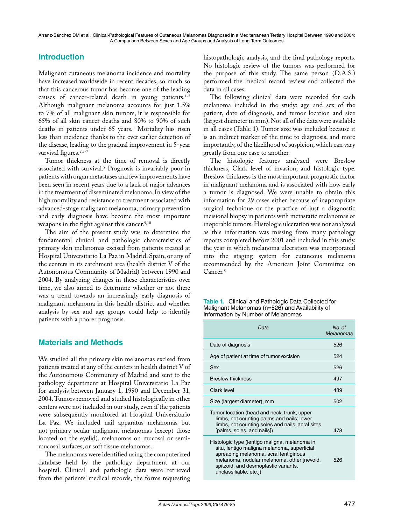## **Introduction**

Malignant cutaneous melanoma incidence and mortality have increased worldwide in recent decades, so much so that this cancerous tumor has become one of the leading causes of cancer-related death in young patients.1-3 Although malignant melanoma accounts for just 1.5% to 7% of all malignant skin tumors, it is responsible for 65% of all skin cancer deaths and 80% to 90% of such deaths in patients under 65 years.<sup>4</sup> Mortality has risen less than incidence thanks to the ever earlier detection of the disease, leading to the gradual improvement in 5-year survival figures.<sup>2,5-7</sup>

Tumor thickness at the time of removal is directly associated with survival.<sup>8</sup> Prognosis is invariably poor in patients with organ metastases and few improvements have been seen in recent years due to a lack of major advances in the treatment of disseminated melanoma. In view of the high mortality and resistance to treatment associated with advanced-stage malignant melanoma, primary prevention and early diagnosis have become the most important weapons in the fight against this cancer.<sup>9,10</sup>

The aim of the present study was to determine the fundamental clinical and pathologic characteristics of primary skin melanomas excised from patients treated at Hospital Universitario La Paz in Madrid, Spain, or any of the centers in its catchment area (health district V of the Autonomous Community of Madrid) between 1990 and 2004. By analyzing changes in these characteristics over time, we also aimed to determine whether or not there was a trend towards an increasingly early diagnosis of malignant melanoma in this health district and whether analysis by sex and age groups could help to identify patients with a poorer prognosis.

#### **Materials and Methods**

We studied all the primary skin melanomas excised from patients treated at any of the centers in health district V of the Autonomous Community of Madrid and sent to the pathology department at Hospital Universitario La Paz for analysis between January 1, 1990 and December 31, 2004. Tumors removed and studied histologically in other centers were not included in our study, even if the patients were subsequently monitored at Hospital Universitario La Paz. We included nail apparatus melanomas but not primary ocular malignant melanomas (except those located on the eyelid), melanomas on mucosal or semimucosal surfaces, or soft tissue melanomas.

The melanomas were identified using the computerized database held by the pathology department at our hospital. Clinical and pathologic data were retrieved from the patients' medical records, the forms requesting

histopathologic analysis, and the final pathology reports. No histologic review of the tumors was performed for the purpose of this study. The same person (D.A.S.) performed the medical record review and collected the data in all cases.

The following clinical data were recorded for each melanoma included in the study: age and sex of the patient, date of diagnosis, and tumor location and size (largest diameter in mm). Not all of the data were available in all cases (Table 1). Tumor size was included because it is an indirect marker of the time to diagnosis, and more importantly, of the likelihood of suspicion, which can vary greatly from one case to another.

The histologic features analyzed were Breslow thickness, Clark level of invasion, and histologic type. Breslow thickness is the most important prognostic factor in malignant melanoma and is associated with how early a tumor is diagnosed. We were unable to obtain this information for 29 cases either because of inappropriate surgical technique or the practice of just a diagnostic incisional biopsy in patients with metastatic melanomas or inoperable tumors. Histologic ulceration was not analyzed as this information was missing from many pathology reports completed before 2001 and included in this study, the year in which melanoma ulceration was incorporated into the staging system for cutaneous melanoma recommended by the American Joint Committee on Cancer.<sup>8</sup>

| <b>Table 1.</b> Clinical and Pathologic Data Collected for |
|------------------------------------------------------------|
| Malignant Melanomas (n=526) and Availability of            |
| Information by Number of Melanomas                         |

| Data                                                                                                                                                                                                                                                  | No. of<br><b>Melanomas</b> |
|-------------------------------------------------------------------------------------------------------------------------------------------------------------------------------------------------------------------------------------------------------|----------------------------|
| Date of diagnosis                                                                                                                                                                                                                                     | 526                        |
| Age of patient at time of tumor excision                                                                                                                                                                                                              | 524                        |
| Sex                                                                                                                                                                                                                                                   | 526                        |
| <b>Breslow thickness</b>                                                                                                                                                                                                                              | 497                        |
| Clark level                                                                                                                                                                                                                                           | 489                        |
| Size (largest diameter), mm                                                                                                                                                                                                                           | 502                        |
| Tumor location (head and neck; trunk; upper<br>limbs, not counting palms and nails; lower<br>limbs, not counting soles and nails; acral sites<br>[palms, soles, and nails])                                                                           | 478                        |
| Histologic type (lentigo maligna, melanoma in<br>situ, lentigo maligna melanoma, superficial<br>spreading melanoma, acral lentiginous<br>melanoma, nodular melanoma, other [nevoid,<br>spitzoid, and desmoplastic variants,<br>unclassifiable, etc.]) | 526                        |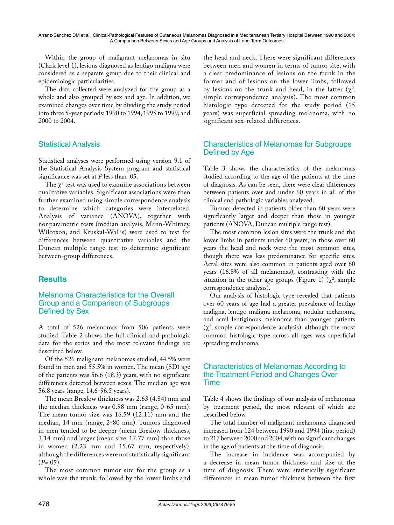Within the group of malignant melanomas in situ (Clark level 1), lesions diagnosed as lentigo maligna were considered as a separate group due to their clinical and epidemiologic particularities.

The data collected were analyzed for the group as a whole and also grouped by sex and age. In addition, we examined changes over time by dividing the study period into three 5-year periods: 1990 to 1994, 1995 to 1999, and 2000 to 2004.

## Statistical Analysis

Statistical analyses were performed using version 9.1 of the Statistical Analysis System program and statistical significance was set at *P* less than .05.

The  $\chi^2$  test was used to examine associations between qualitative variables. Significant associations were then further examined using simple correspondence analysis to determine which categories were interrelated. Analysis of variance (ANOVA), together with nonparametric tests (median analysis, Mann-Whitney, Wilcoxon, and Kruskal-Wallis) were used to test for differences between quantitative variables and the Duncan multiple range test to determine significant between-group differences.

## **Results**

#### Melanoma Characteristics for the Overall Group and a Comparison of Subgroups Defined by Sex

A total of 526 melanomas from 506 patients were studied. Table 2 shows the full clinical and pathologic data for the series and the most relevant findings are described below.

Of the 526 malignant melanomas studied, 44.5% were found in men and 55.5% in women. The mean (SD) age of the patients was 56.6 (18.3) years, with no significant differences detected between sexes. The median age was 56.8 years (range, 14.6-96.5 years).

The mean Breslow thickness was 2.63 (4.84) mm and the median thickness was 0.98 mm (range, 0-65 mm). The mean tumor size was 16.59 (12.11) mm and the median, 14 mm (range, 2-80 mm). Tumors diagnosed in men tended to be deeper (mean Breslow thickness, 3.14 mm) and larger (mean size, 17.77 mm) than those in women (2.23 mm and 15.67 mm, respectively), although the differences were not statistically significant  $(P=.05)$ .

The most common tumor site for the group as a whole was the trunk, followed by the lower limbs and the head and neck. There were significant differences between men and women in terms of tumor site, with a clear predominance of lesions on the trunk in the former and of lesions on the lower limbs, followed by lesions on the trunk and head, in the latter  $(\chi^2,$ simple correspondence analysis). The most common histologic type detected for the study period (15 years) was superficial spreading melanoma, with no significant sex-related differences.

### Characteristics of Melanomas for Subgroups Defined by Age

Table 3 shows the characteristics of the melanomas studied according to the age of the patients at the time of diagnosis. As can be seen, there were clear differences between patients over and under 60 years in all of the clinical and pathologic variables analyzed.

Tumors detected in patients older than 60 years were significantly larger and deeper than those in younger patients (ANOVA, Duncan multiple range test).

The most common lesion sites were the trunk and the lower limbs in patients under 60 years; in those over 60 years the head and neck were the most common sites, though there was less predominance for specific sites. Acral sites were also common in patients aged over 60 years (16.8% of all melanomas), contrasting with the situation in the other age groups (Figure 1) ( $\chi^2$ , simple correspondence analysis).

Our analysis of histologic type revealed that patients over 60 years of age had a greater prevalence of lentigo maligna, lentigo maligna melanoma, nodular melanoma, and acral lentiginous melanoma than younger patients  $(\chi^2)$ , simple correspondence analysis), although the most common histologic type across all ages was superficial spreading melanoma.

#### Characteristics of Melanomas According to the Treatment Period and Changes Over Time

Table 4 shows the findings of our analysis of melanomas by treatment period, the most relevant of which are described below.

The total number of malignant melanomas diagnosed increased from 124 between 1990 and 1994 (first period) to 217 between 2000 and 2004, with no significant changes in the age of patients at the time of diagnosis.

The increase in incidence was accompanied by a decrease in mean tumor thickness and size at the time of diagnosis. There were statistically significant differences in mean tumor thickness between the first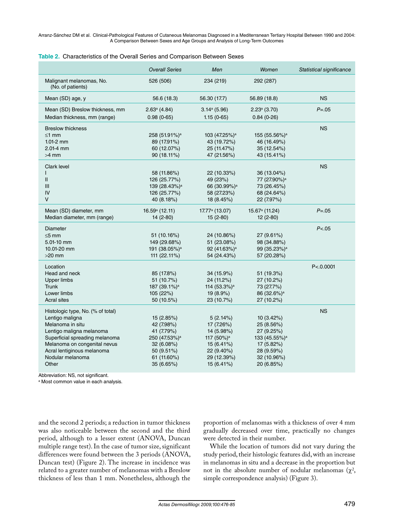| Table 2. Characteristics of the Overall Series and Comparison Between Sexes |  |
|-----------------------------------------------------------------------------|--|
|-----------------------------------------------------------------------------|--|

|                                               | <b>Overall Series</b>      | Men                        | Women                      | Statistical significance |
|-----------------------------------------------|----------------------------|----------------------------|----------------------------|--------------------------|
| Malignant melanomas, No.<br>(No. of patients) | 526 (506)                  | 234 (219)                  | 292 (287)                  |                          |
| Mean (SD) age, y                              | 56.6 (18.3)                | 56.30 (17.7)               | 56.89 (18.8)               | <b>NS</b>                |
| Mean (SD) Breslow thickness, mm               | $2.63$ <sup>a</sup> (4.84) | 3.14a(5.96)                | 2.23a(3.70)                | $P = .05$                |
| Median thickness, mm (range)                  | $0.98(0-65)$               | $1.15(0-65)$               | $0.84(0-26)$               |                          |
| <b>Breslow thickness</b>                      |                            |                            |                            | <b>NS</b>                |
| $\leq 1$ mm                                   | 258 (51.91%) <sup>a</sup>  | 103 (47.25%) <sup>a</sup>  | 155 (55.56%) <sup>a</sup>  |                          |
| $1.01-2$ mm                                   | 89 (17.91%)                | 43 (19.72%)                | 46 (16.49%)                |                          |
| $2.01 - 4$ mm                                 | 60 (12.07%)                | 25 (11.47%)                | 35 (12.54%)                |                          |
| $>4$ mm                                       | 90 (18.11%)                | 47 (21.56%)                | 43 (15.41%)                |                          |
| Clark level                                   |                            |                            |                            | <b>NS</b>                |
|                                               | 58 (11.86%)                | 22 (10.33%)                | 36 (13.04%)                |                          |
| $\mathsf{II}$                                 | 126 (25.77%)               | 49 (23%)                   | 77 (27.90%) <sup>a</sup>   |                          |
| III                                           | 139 (28.43%) <sup>a</sup>  | 66 (30.99%) <sup>a</sup>   | 73 (26.45%)                |                          |
| IV                                            | 126 (25.77%)               | 58 (27.23%)                | 68 (24.64%)                |                          |
| V                                             | 40 (8.18%)                 | 18 (8.45%)                 | 22 (7.97%)                 |                          |
| Mean (SD) diameter, mm                        | $16.59a$ (12.11)           | 17.77 <sup>a</sup> (13.07) | 15.67 <sup>a</sup> (11.24) | $P = .05$                |
| Median diameter, mm (range)                   | $14(2-80)$                 | $15(2-80)$                 | $12(2-80)$                 |                          |
| <b>Diameter</b>                               |                            |                            |                            | P < .05                  |
| $\leq 5$ mm                                   | 51 (10.16%)                | 24 (10.86%)                | 27 (9.61%)                 |                          |
| 5.01-10 mm                                    | 149 (29.68%)               | 51 (23.08%)                | 98 (34.88%)                |                          |
| 10.01-20 mm                                   | 191 (38.05%) <sup>a</sup>  | 92 (41.63%) <sup>a</sup>   | 99 (35.23%) <sup>a</sup>   |                          |
| $>20$ mm                                      | 111 (22.11%)               | 54 (24.43%)                | 57 (20.28%)                |                          |
| Location                                      |                            |                            |                            | P < 0.0001               |
| Head and neck                                 | 85 (17.8%)                 | 34 (15.9%)                 | 51 (19.3%)                 |                          |
| <b>Upper limbs</b>                            | 51 (10.7%)                 | 24 (11.2%)                 | 27 (10.2%)                 |                          |
| <b>Trunk</b>                                  | 187 (39.1%) <sup>a</sup>   | 114 (53.3%) <sup>a</sup>   | 73 (27.7%)                 |                          |
| Lower limbs                                   | 105(22%)                   | $19(8.9\%)$                | 86 (32.6%) <sup>a</sup>    |                          |
| <b>Acral sites</b>                            | 50 (10.5%)                 | 23 (10.7%)                 | 27 (10.2%)                 |                          |
| Histologic type, No. (% of total)             |                            |                            |                            | <b>NS</b>                |
| Lentigo maligna                               | 15 (2.85%)                 | 5(2.14%)                   | 10(3.42%)                  |                          |
| Melanoma in situ                              | 42 (7.98%)                 | 17 (7.26%)                 | 25 (8.56%)                 |                          |
| Lentigo maligna melanoma                      | 41 (7.79%)                 | 14 (5.98%)                 | 27 (9.25%)                 |                          |
| Superficial spreading melanoma                | 250 (47.53%) <sup>a</sup>  | 117 (50%) <sup>a</sup>     | 133 (45.55%) <sup>a</sup>  |                          |
| Melanoma on congenital nevus                  | 32 (6.08%)                 | 15 (6.41%)                 | 17 (5.82%)                 |                          |
| Acral lentiginous melanoma                    | 50 (9.51%)                 | 22 (9.40%)                 | 28 (9.59%)                 |                          |
| Nodular melanoma                              | 61 (11.60%)                | 29 (12.39%)                | 32 (10.96%)                |                          |
| Other                                         | 35 (6.65%)                 | 15 (6.41%)                 | 20 (6.85%)                 |                          |
|                                               |                            |                            |                            |                          |

Abbreviation: NS, not significant.

a Most common value in each analysis.

and the second 2 periods; a reduction in tumor thickness was also noticeable between the second and the third period, although to a lesser extent (ANOVA, Duncan multiple range test). In the case of tumor size, significant differences were found between the 3 periods (ANOVA, Duncan test) (Figure 2). The increase in incidence was related to a greater number of melanomas with a Breslow thickness of less than 1 mm. Nonetheless, although the

proportion of melanomas with a thickness of over 4 mm gradually decreased over time, practically no changes were detected in their number.

While the location of tumors did not vary during the study period, their histologic features did, with an increase in melanomas in situ and a decrease in the proportion but not in the absolute number of nodular melanomas  $(\chi^2)$ , simple correspondence analysis) (Figure 3).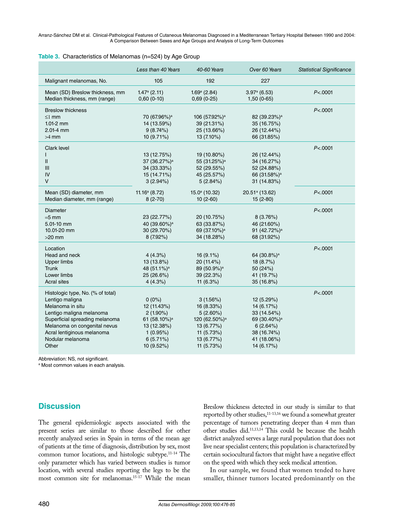|  | Table 3. Characteristics of Melanomas (n=524) by Age Group |  |  |  |  |
|--|------------------------------------------------------------|--|--|--|--|
|--|------------------------------------------------------------|--|--|--|--|

|                                                                 | Less than 40 Years             | 40-60 Years                                | Over 60 Years                  | <b>Statistical Significance</b> |
|-----------------------------------------------------------------|--------------------------------|--------------------------------------------|--------------------------------|---------------------------------|
| Malignant melanomas, No.                                        | 105                            | 192                                        | 227                            |                                 |
| Mean (SD) Breslow thickness, mm<br>Median thickness, mm (range) | $1.47a$ (2.11)<br>$0,60(0-10)$ | $1.69^{\mathrm{a}}$ (2.84)<br>$0,69(0-25)$ | $3.97a$ (6.53)<br>$1,50(0-65)$ | P < .0001                       |
| <b>Breslow thickness</b>                                        |                                |                                            |                                | P < 0001                        |
| $\leq$ 1 mm                                                     | 70 (67.96%)ª                   | 106 (57.92%) <sup>a</sup>                  | 82 (39.23%) <sup>a</sup>       |                                 |
| $1.01 - 2$ mm                                                   | 14 (13.59%)                    | 39 (21.31%)                                | 35 (16.75%)                    |                                 |
| 2.01-4 mm                                                       | 9(8.74%)                       | 25 (13.66%)                                | 26 (12.44%)                    |                                 |
| $>4$ mm                                                         | 10 (9.71%)                     | 13 (7.10%)                                 | 66 (31.85%)                    |                                 |
| Clark level                                                     |                                |                                            |                                | P < .0001                       |
|                                                                 | 13 (12.75%)                    | 19 (10.80%)                                | 26 (12.44%)                    |                                 |
| $\mathsf{I}$                                                    | 37 (36.27%) <sup>a</sup>       | 55 (31.25%) <sup>a</sup>                   | 34 (16.27%)                    |                                 |
| $\mathbf{III}$                                                  | 34 (33.33%)                    | 52 (29.55%)                                | 52 (24.88%)                    |                                 |
| IV                                                              | 15 (14.71%)                    | 45 (25.57%)                                | 66 (31.58%) <sup>a</sup>       |                                 |
| $\vee$                                                          | 3(2.94%)                       | 5(2.84%)                                   | 31 (14.83%)                    |                                 |
| Mean (SD) diameter, mm                                          | $11.16a$ (8.72)                | 15.0 <sup>a</sup> (10.32)                  | 20.51 <sup>a</sup> (13.62)     | P < 0001                        |
| Median diameter, mm (range)                                     | $8(2-70)$                      | $10(2-60)$                                 | $15(2-80)$                     |                                 |
|                                                                 |                                |                                            |                                |                                 |
| <b>Diameter</b>                                                 |                                |                                            |                                | P < 0001                        |
| $=5$ mm                                                         | 23 (22.77%)                    | 20 (10.75%)                                | 8(3.76%)                       |                                 |
| $5.01 - 10$ mm                                                  | 40 (39.60%) <sup>a</sup>       | 63 (33.87%)                                | 46 (21.60%)                    |                                 |
| 10.01-20 mm                                                     | 30 (29.70%)                    | 69 (37.10%) <sup>a</sup>                   | 91 (42.72%) <sup>a</sup>       |                                 |
| $>20$ mm                                                        | 8 (7.92%)                      | 34 (18.28%)                                | 68 (31.92%)                    |                                 |
| Location                                                        |                                |                                            |                                | P < 0001                        |
| Head and neck                                                   | 4(4.3%)                        | $16(9.1\%)$                                | 64 (30.8%) <sup>a</sup>        |                                 |
| <b>Upper limbs</b>                                              | 13 (13.8%)                     | 20 (11.4%)                                 | 18 (8.7%)                      |                                 |
| <b>Trunk</b>                                                    | 48 (51.1%) <sup>a</sup>        | 89 (50.9%) <sup>a</sup>                    | 50 (24%)                       |                                 |
| Lower limbs                                                     | 25 (26.6%)                     | 39 (22.3%)                                 | 41 (19.7%)                     |                                 |
| <b>Acral sites</b>                                              | 4(4.3%)                        | 11 $(6.3%)$                                | 35 (16.8%)                     |                                 |
| Histologic type, No. (% of total)                               |                                |                                            |                                | P < 0001                        |
| Lentigo maligna                                                 | $0(0\%)$                       | 3(1.56%)                                   | 12 (5.29%)                     |                                 |
| Melanoma in situ                                                | 12 (11.43%)                    | 16 (8.33%)                                 | 14 (6.17%)                     |                                 |
| Lentigo maligna melanoma                                        | $2(1.90\%)$                    | $5(2.60\%)$                                | 33 (14.54%)                    |                                 |
| Superficial spreading melanoma                                  | 61 (58.10%) <sup>a</sup>       | 120 (62.50%) <sup>a</sup>                  | 69 (30.40%) <sup>a</sup>       |                                 |
| Melanoma on congenital nevus                                    | 13 (12.38%)                    | 13 (6.77%)                                 | 6(2.64%)                       |                                 |
| Acral lentiginous melanoma                                      | 1(0.95%)                       | 11 (5.73%)                                 | 38 (16.74%)                    |                                 |
| Nodular melanoma                                                | $6(5.71\%)$                    | 13 (6.77%)                                 | 41 (18.06%)                    |                                 |
| Other                                                           | 10 (9.52%)                     | 11 (5.73%)                                 | 14 (6.17%)                     |                                 |
|                                                                 |                                |                                            |                                |                                 |

Abbreviation: NS, not significant.

a Most common values in each analysis.

## **Discussion**

The general epidemiologic aspects associated with the present series are similar to those described for other recently analyzed series in Spain in terms of the mean age of patients at the time of diagnosis, distribution by sex, most common tumor locations, and histologic subtype.11-14 The only parameter which has varied between studies is tumor location, with several studies reporting the legs to be the most common site for melanomas.15-17 While the mean

Breslow thickness detected in our study is similar to that reported by other studies,<sup>11-13,16</sup> we found a somewhat greater percentage of tumors penetrating deeper than 4 mm than other studies did.11,13,14 This could be because the health district analyzed serves a large rural population that does not live near specialist centers; this population is characterized by certain sociocultural factors that might have a negative effect on the speed with which they seek medical attention.

In our sample, we found that women tended to have smaller, thinner tumors located predominantly on the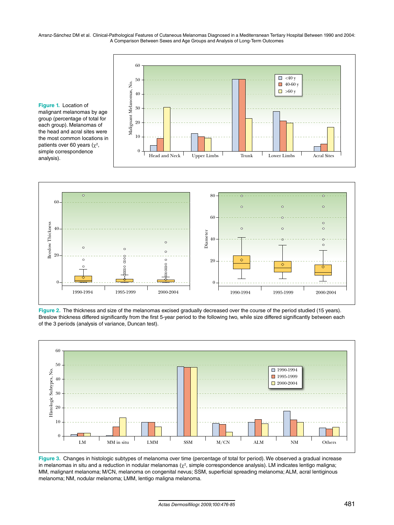

**Figure 1.** Location of malignant melanomas by age group (percentage of total for each group). Melanomas of the head and acral sites were the most common locations in patients over 60 years ( $\chi^2$ , simple correspondence analysis).



**Figure 2.** The thickness and size of the melanomas excised gradually decreased over the course of the period studied (15 years). Breslow thickness differed significantly from the first 5-year period to the following two, while size differed significantly between each of the 3 periods (analysis of variance, Duncan test).



**Figure 3.** Changes in histologic subtypes of melanoma over time (percentage of total for period). We observed a gradual increase in melanomas in situ and a reduction in nodular melanomas ( $\chi^2$ , simple correspondence analysis). LM indicates lentigo maligna; MM, malignant melanoma; M/CN, melanoma on congenital nevus; SSM, superficial spreading melanoma; ALM, acral lentiginous melanoma; NM, nodular melanoma; LMM, lentigo maligna melanoma.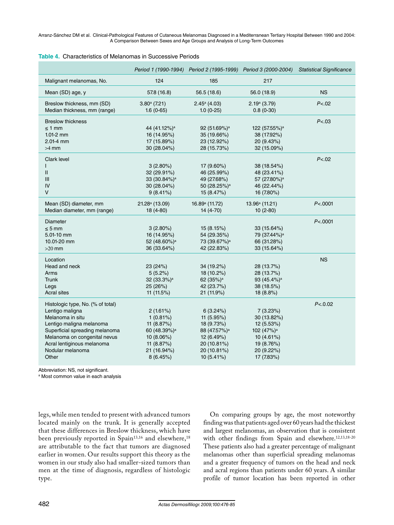|                                   |                            | Period 1 (1990-1994) Period 2 (1995-1999) Period 3 (2000-2004) |                            | <b>Statistical Significance</b> |
|-----------------------------------|----------------------------|----------------------------------------------------------------|----------------------------|---------------------------------|
| Malignant melanomas, No.          | 124                        | 185                                                            | 217                        |                                 |
| Mean (SD) age, y                  | 57.8 (16.8)                | 56.5 (18.6)                                                    | 56.0 (18.9)                | <b>NS</b>                       |
| Breslow thickness, mm (SD)        | $3.80^{\circ}$ (7.21)      | $2.45^a$ (4.03)                                                | 2.19a(3.79)                | P < .02                         |
| Median thickness, mm (range)      | $1.6(0-65)$                | $1.0(0-25)$                                                    | $0.8(0-30)$                |                                 |
| <b>Breslow thickness</b>          |                            |                                                                |                            | P < .03                         |
| $\leq$ 1 mm                       | 44 (41.12%) <sup>a</sup>   | 92 (51.69%) <sup>a</sup>                                       | 122 (57.55%) <sup>a</sup>  |                                 |
| $1.01 - 2$ mm                     | 16 (14.95%)                | 35 (19.66%)                                                    | 38 (17.92%)                |                                 |
| 2.01-4 mm                         | 17 (15.89%)                | 23 (12.92%)                                                    | 20 (9.43%)                 |                                 |
| $>4$ mm                           | 30 (28.04%)                | 28 (15.73%)                                                    | 32 (15.09%)                |                                 |
|                                   |                            |                                                                |                            |                                 |
| Clark level                       |                            |                                                                |                            | P < .02                         |
|                                   | $3(2.80\%)$                | 17 (9.60%)                                                     | 38 (18.54%)                |                                 |
| $\mathsf{I}$                      | 32 (29.91%)                | 46 (25.99%)                                                    | 48 (23.41%)                |                                 |
| Ш                                 | 33 (30.84%) <sup>a</sup>   | 49 (27.68%)                                                    | 57 (27.80%) <sup>a</sup>   |                                 |
| IV                                | 30 (28.04%)                | 50 (28.25%) <sup>a</sup>                                       | 46 (22.44%)                |                                 |
| $\vee$                            | $9(8.41\%)$                | 15 (8.47%)                                                     | 16 (7.80%)                 |                                 |
|                                   |                            |                                                                |                            |                                 |
| Mean (SD) diameter, mm            | 21.28 <sup>a</sup> (13.09) | 16.89 <sup>a</sup> (11.72)                                     | 13.96 <sup>a</sup> (11.21) | P < 0001                        |
| Median diameter, mm (range)       | $18(4-80)$                 | 14 (4-70)                                                      | $10(2-80)$                 |                                 |
| <b>Diameter</b>                   |                            |                                                                |                            | P < 0001                        |
| $\leq$ 5 mm                       | $3(2.80\%)$                | 15(8.15%)                                                      | 33 (15.64%)                |                                 |
| 5.01-10 mm                        | 16 (14.95%)                | 54 (29.35%)                                                    | 79 (37.44%) <sup>a</sup>   |                                 |
| 10.01-20 mm                       | 52 (48.60%) <sup>a</sup>   | 73 (39.67%) <sup>a</sup>                                       | 66 (31.28%)                |                                 |
| $>20$ mm                          | 36 (33.64%)                | 42 (22.83%)                                                    | 33 (15.64%)                |                                 |
|                                   |                            |                                                                |                            |                                 |
| Location                          |                            |                                                                |                            | <b>NS</b>                       |
| Head and neck                     | 23 (24%)                   | 34 (19.2%)                                                     | 28 (13.7%)                 |                                 |
| Arms                              | 5(5.2%)                    | 18 (10.2%)                                                     | 28 (13.7%)                 |                                 |
| <b>Trunk</b>                      | 32 (33.3%) <sup>a</sup>    | 62 (35%) <sup>a</sup>                                          | 93 (45.4%) <sup>a</sup>    |                                 |
| Legs                              | 25 (26%)                   | 42 (23.7%)                                                     | 38 (18.5%)                 |                                 |
| <b>Acral sites</b>                | 11 (11.5%)                 | 21 (11.9%)                                                     | 18(8.8%)                   |                                 |
|                                   |                            |                                                                |                            |                                 |
| Histologic type, No. (% of total) |                            |                                                                |                            | P < 0.02                        |
| Lentigo maligna                   | $2(1.61\%)$                | 6(3.24%)                                                       | 7(3.23%)                   |                                 |
| Melanoma in situ                  | $1(0.81\%)$                | 11 (5.95%)                                                     | 30 (13.82%)                |                                 |
| Lentigo maligna melanoma          | 11 (8.87%)                 | 18 (9.73%)                                                     | 12 (5.53%)                 |                                 |
| Superficial spreading melanoma    | 60 (48.39%) <sup>a</sup>   | 88 (47.57%) <sup>a</sup>                                       | 102 (47%) <sup>a</sup>     |                                 |
| Melanoma on congenital nevus      | 10 (8.06%)                 | 12 (6.49%)                                                     | 10 (4.61%)                 |                                 |
| Acral lentiginous melanoma        | 11 (8.87%)                 | 20 (10.81%)                                                    | 19 (8.76%)                 |                                 |
| Nodular melanoma                  | 21 (16.94%)                | 20 (10.81%)                                                    | 20 (9.22%)                 |                                 |
| Other                             | 8(6.45%)                   | 10 (5.41%)                                                     | 17 (7.83%)                 |                                 |

| <b>Table 4.</b> Characteristics of Melanomas in Successive Periods |  |
|--------------------------------------------------------------------|--|
|--------------------------------------------------------------------|--|

Abbreviation: NS, not significant.

a Most common value in each analysis

legs, while men tended to present with advanced tumors located mainly on the trunk. It is generally accepted that these differences in Breslow thickness, which have been previously reported in Spain<sup>13,16</sup> and elsewhere,<sup>18</sup> are attributable to the fact that tumors are diagnosed earlier in women. Our results support this theory as the women in our study also had smaller-sized tumors than men at the time of diagnosis, regardless of histologic type.

On comparing groups by age, the most noteworthy finding was that patients aged over 60 years had the thickest and largest melanomas, an observation that is consistent with other findings from Spain and elsewhere.<sup>12,13,18-20</sup> These patients also had a greater percentage of malignant melanomas other than superficial spreading melanomas and a greater frequency of tumors on the head and neck and acral regions than patients under 60 years. A similar profile of tumor location has been reported in other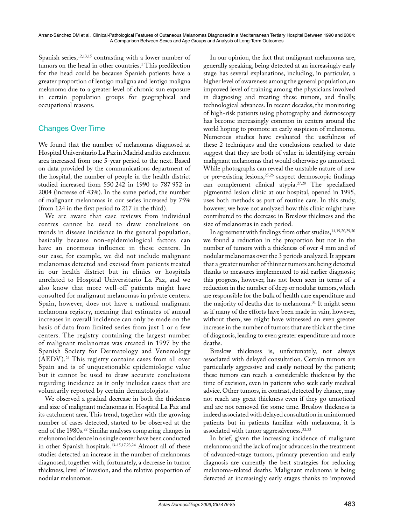Spanish series,<sup>12,13,15</sup> contrasting with a lower number of tumors on the head in other countries.<sup>1</sup> This predilection for the head could be because Spanish patients have a greater proportion of lentigo maligna and lentigo maligna melanoma due to a greater level of chronic sun exposure in certain population groups for geographical and occupational reasons.

## Changes Over Time

We found that the number of melanomas diagnosed at Hospital Universitario La Paz in Madrid and its catchment area increased from one 5-year period to the next. Based on data provided by the communications department of the hospital, the number of people in the health district studied increased from 550 242 in 1990 to 787 952 in 2004 (increase of 43%). In the same period, the number of malignant melanomas in our series increased by 75% (from 124 in the first period to 217 in the third).

We are aware that case reviews from individual centres cannot be used to draw conclusions on trends in disease incidence in the general population, basically because non-epidemiological factors can have an enormous influence in these centers. In our case, for example, we did not include malignant melanomas detected and excised from patients treated in our health district but in clinics or hospitals unrelated to Hospital Universitario La Paz, and we also know that more well-off patients might have consulted for malignant melanomas in private centers. Spain, however, does not have a national malignant melanoma registry, meaning that estimates of annual increases in overall incidence can only be made on the basis of data from limited series from just 1 or a few centers. The registry containing the largest number of malignant melanomas was created in 1997 by the Spanish Society for Dermatology and Venereology (AEDV).<sup>21</sup> This registry contains cases from all over Spain and is of unquestionable epidemiologic value but it cannot be used to draw accurate conclusions regarding incidence as it only includes cases that are voluntarily reported by certain dermatologists.

We observed a gradual decrease in both the thickness and size of malignant melanomas in Hospital La Paz and its catchment area. This trend, together with the growing number of cases detected, started to be observed at the end of the 1980s.<sup>22</sup> Similar analyses comparing changes in melanoma incidence in a single center have been conducted in other Spanish hospitals.13-15,17,23,24 Almost all of these studies detected an increase in the number of melanomas diagnosed, together with, fortunately, a decrease in tumor thickness, level of invasion, and the relative proportion of nodular melanomas.

In our opinion, the fact that malignant melanomas are, generally speaking, being detected at an increasingly early stage has several explanations, including, in particular, a higher level of awareness among the general population, an improved level of training among the physicians involved in diagnosing and treating these tumors, and finally, technological advances. In recent decades, the monitoring of high-risk patients using photography and dermoscopy has become increasingly common in centers around the world hoping to promote an early suspicion of melanoma. Numerous studies have evaluated the usefulness of these 2 techniques and the conclusions reached to date suggest that they are both of value in identifying certain malignant melanomas that would otherwise go unnoticed. While photographs can reveal the unstable nature of new or pre-existing lesions,25,26 suspect dermoscopic findings can complement clinical atypia.27,28 The specialized pigmented lesion clinic at our hospital, opened in 1995, uses both methods as part of routine care. In this study, however, we have not analyzed how this clinic might have contributed to the decrease in Breslow thickness and the size of melanomas in each period.

In agreement with findings from other studies,  $14,19,20,29,30$ we found a reduction in the proportion but not in the number of tumors with a thickness of over 4 mm and of nodular melanomas over the 3 periods analyzed. It appears that a greater number of thinner tumors are being detected thanks to measures implemented to aid earlier diagnosis; this progress, however, has not been seen in terms of a reduction in the number of deep or nodular tumors, which are responsible for the bulk of health care expenditure and the majority of deaths due to melanoma.<sup>31</sup> It might seem as if many of the efforts have been made in vain; however, without them, we might have witnessed an even greater increase in the number of tumors that are thick at the time of diagnosis, leading to even greater expenditure and more deaths.

Breslow thickness is, unfortunately, not always associated with delayed consultation. Certain tumors are particularly aggressive and easily noticed by the patient; these tumors can reach a considerable thickness by the time of excision, even in patients who seek early medical advice. Other tumors, in contrast, detected by chance, may not reach any great thickness even if they go unnoticed and are not removed for some time. Breslow thickness is indeed associated with delayed consultation in uninformed patients but in patients familiar with melanoma, it is associated with tumor aggressiveness.<sup>32,33</sup>

In brief, given the increasing incidence of malignant melanoma and the lack of major advances in the treatment of advanced-stage tumors, primary prevention and early diagnosis are currently the best strategies for reducing melanoma-related deaths. Malignant melanoma is being detected at increasingly early stages thanks to improved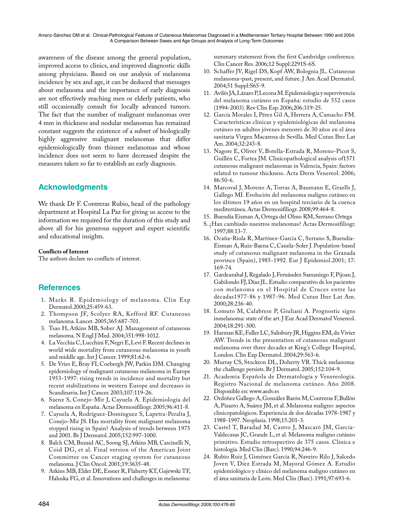awareness of the disease among the general population, improved access to clinics, and improved diagnostic skills among physicians. Based on our analysis of melanoma incidence by sex and age, it can be deduced that messages about melanoma and the importance of early diagnosis are not effectively reaching men or elderly patients, who still occasionally consult for locally advanced tumors. The fact that the number of malignant melanomas over 4 mm in thickness and nodular melanomas has remained constant suggests the existence of a subset of biologically highly aggressive malignant melanomas that differ epidemiologically from thinner melanomas and whose incidence does not seem to have decreased despite the measures taken so far to establish an early diagnosis.

## **Acknowledgments**

We thank Dr F. Contreras Rubio, head of the pathology department at Hospital La Paz for giving us access to the information we required for the duration of this study and above all for his generous support and expert scientific and educational insights.

#### **Conflicts of Interest**

The authors declare no conflicts of interest.

## **References**

- 1. Marks R. Epidemiology of melanoma. Clin Exp Dermatol.2000;25:459-63.
- 2. Thompson JF, Scolyer RA, Kefford RF. Cutaneous melanoma. Lancet. 2005;365:687-701.
- 3. Tsao H, Atkins MB, Sober AJ. Management of cutaneous melanoma. N Engl J Med. 2004;351:998-1012.
- 4. La Vecchia C, Lucchini F, Negri E, Levi F. Recent declines in world wide mortality from cutaneous melanoma in youth and middle age. Int J Cancer. 1999;81:62-6.
- 5. De Vries E, Bray FI, Coebergh JW, Parkin DM. Changing epidemiology of malignant cutaneous melanoma in Europe 1953-1997: rising trends in incidence and mortality but recent stabilizations in western Europe and decreases in Scandinavia. Int J Cancer. 2003;107:119-26.
- 6. Saenz S, Conejo-Mir J, Cayuela A. Epidemiología del melanoma en España. Actas Dermosifiliogr. 2005;96:411-8.
- 7. Cayuela A, Rodríguez-Domínguez S, Lapetra-Peralta J, Conejo-Mir JS. Has mortality from malignant melanoma stopped rising in Spain? Analysis of trends between 1975 and 2001. Br J Dermatol. 2005;152:997-1000.
- 8. Balch CM, Buzaid AC, Soong SJ, Atkins MB, Cascinelli N, Coid DG, et al. Final version of the American Joint Committee on Cancer staging system for cutaneous melanoma. J Clin Oncol. 2001;19:3635-48.
- 9. Atkins MB, Elder DE, Essner R, Flaherty KT, Gajewski TF, Haluska FG, et al. Innovations and challenges in melanoma:

summary statement from the first Cambridge conference. Clin Cancer Res. 2006;12 Suppl:2291S-6S.

- 10. Schaffer JV, Rigel DS, Kopf AW, Bolognia JL. Cutaneous melanoma–past, present, and future. J Am Acad Dermatol. 2004;51 Suppl:S65-9.
- 11. Avilés JA, Lázaro P, Lecona M. Epidemiología y supervivencia del melanoma cutáneo en España: estudio de 552 casos (1994-2003). Rev Clin Esp. 2006;206:319-25.
- 12. García Morales I, Pérez Gil A, Herrera A, Camacho FM. Características clínicas y epidemiológicas del melanoma cutáneo en adultos jóvenes menores de 30 años en el área sanitaria Virgen Macarena de Sevilla. Med Cutan Iber Lat Am. 2004;32:243-8.
- 13. Nagore E, Oliver V, Botella-Estrada R, Moreno-Picot S, Guillén C, Fortea JM. Clinicopathological analysis of1571 cutaneous malignant melanomas in Valencia, Spain: factors related to tumour thickness. Acta Derm Venereol. 2006; 86:50-6.
- 14. Marcoval J, Moreno A, Torras A, Baumann E, Graells J, Gallego MI. Evolución del melanoma maligno cutáneo en los últimos 19 años en un hospital terciario de la cuenca mediterránea. Actas Dermosifiliogr. 2008;99:464-8.
- 15. Buendía Eisman A, Ortega del Olmo RM, Serrano Ortega
- S. ¿Han cambiado nuestros melanomas? Actas Dermosifiliogr. 1997;88:13-7.
- 16. Ocaña-Riola R, Martínez-Garcia C, Serrano S, Buendía-Eisman A, Ruiz-Baena C, Canela-Soler J. Population-based study of cutaneous malignant melanoma in the Granada province (Spain), 1985-1992. Eur J Epidemiol.2001; 17: 169-74.
- 17. Gardeazabal J, Regalado J, Fernández Samaniego F, Pijoan J, Gabilondo FJ, Díaz JL. Estudio comparativo de los pacientes con melanoma en el Hospital de Cruces entre las décadas1977-86 y 1987-96. Med Cutan Iber Lat Am. 2000;28:236-40.
- 18. Lomuto M, Calabrese P, Giuliani A. Prognostic signs inmelanoma: state of the art. J Eur Acad Dermatol Venereol. 2004;18:291-300.
- 19. Harman KE, Fuller LC, Salisbury JR, Higgins EM, du Vivier AW. Trends in the presentation of cutaneous malignant melanoma over three decades at King's College Hospital, London. Clin Exp Dermatol. 2004;29:563-6.
- 20. Murray CS, Stockton DL, Doherty VR. Thick melanoma: the challenge persists. Br J Dermatol. 2005;152:104-9.
- 21. Academia Española de Dermatología y Venereología. Registro Nacional de melanoma cutáneo. Año 2008. Disponible en: www.aedv.es
- 22. Ordóñez Gallego A, González Barón M, Contreras F, Bullón A, Pizarro A, Suárez JM, et al. Melanoma maligno: aspectos clinicopatológicos. Experiencia de dos décadas 1978-1987 y 1988-1997. Neoplasia. 1998;15:201-3.
- 23. Castel T, Baradad M, Castro J, Mascaró JM, García-Valdecasas JC, Grande L, et al. Melanoma maligno cutáneo primitivo. Estudio retrospectivo de 375 casos. Clínica e histología. Med Clin (Barc). 1990;94:246-9.
- 24. Rubio Ruiz J, Giménez García R, Naveiro Rilo J, Salcedo Joven V, Díez Estrada M, Mayoral Gómez A. Estudio epidemiológico y clínico del melanoma maligno cutáneo en el área sanitaria de León. Med Clin (Barc). 1991;97:693-6.